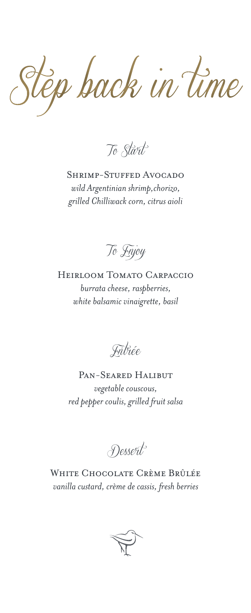Step back in time

*To Start*

Shrimp-Stuffed Avocado *wild Argentinian shrimp,chorizo, grilled Chilliwack corn, citrus aioli*



Heirloom Tomato Carpaccio *burrata cheese, raspberries, white balsamic vinaigrette, basil*

*Entrée*

Pan-Seared Halibut *vegetable couscous, red pepper coulis, grilled fruit salsa*

*Dessert*

White Chocolate Crème Brûlée *vanilla custard, crème de cassis, fresh berries*